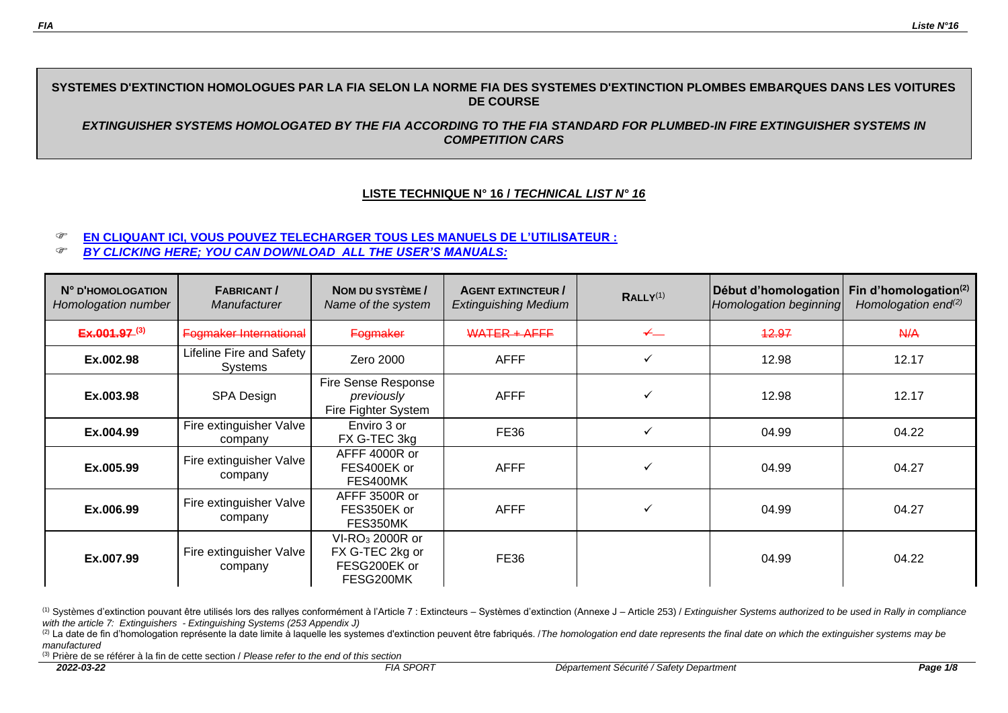# **SYSTEMES D'EXTINCTION HOMOLOGUES PAR LA FIA SELON LA NORME FIA DES SYSTEMES D'EXTINCTION PLOMBES EMBARQUES DANS LES VOITURES DE COURSE**

*EXTINGUISHER SYSTEMS HOMOLOGATED BY THE FIA ACCORDING TO THE FIA STANDARD FOR PLUMBED-IN FIRE EXTINGUISHER SYSTEMS IN COMPETITION CARS*

## **LISTE TECHNIQUE N° 16 /** *TECHNICAL LIST N° 16*

### **[EN CLIQUANT ICI, VOUS POUVEZ TELECHARGER TOUS LES MANUELS DE L'UTILISATEUR](http://www.fia.com/user%E2%80%99s-manuals-fia-approved-systems-plumbed-fire-extinguisher-systems) :**

*[BY CLICKING HERE; YOU CAN DOWNLOAD ALL](http://www.fia.com/user%E2%80%99s-manuals-fia-approved-systems-plumbed-fire-extinguisher-systems) THE USER'S MANUALS:*

| N° D'HOMOLOGATION<br>Homologation number | <b>FABRICANT/</b><br><b>Manufacturer</b> | NOM DU SYSTÈME /<br>Name of the system                                      | <b>AGENT EXTINCTEUR /</b><br><b>Extinguishing Medium</b> | RALLY <sup>(1)</sup> | Début d'homologation<br>Homologation beginning | Fin d'homologation $(2)$<br>Homologation end $(2)$ |
|------------------------------------------|------------------------------------------|-----------------------------------------------------------------------------|----------------------------------------------------------|----------------------|------------------------------------------------|----------------------------------------------------|
| $Ex.001.97^{(3)}$                        | Fogmaker International                   | Fogmaker                                                                    | <b>WATER + AFFF</b>                                      | $\leftarrow$         | 42.97                                          | A/A                                                |
| Ex.002.98                                | Lifeline Fire and Safety<br>Systems      | Zero 2000                                                                   | <b>AFFF</b>                                              | $\checkmark$         | 12.98                                          | 12.17                                              |
| Ex.003.98                                | SPA Design                               | Fire Sense Response<br>previously<br>Fire Fighter System                    | <b>AFFF</b>                                              | v                    | 12.98                                          | 12.17                                              |
| Ex.004.99                                | Fire extinguisher Valve<br>company       | Enviro 3 or<br>FX G-TEC 3kg                                                 | <b>FE36</b>                                              | $\checkmark$         | 04.99                                          | 04.22                                              |
| Ex.005.99                                | Fire extinguisher Valve<br>company       | AFFF 4000R or<br>FES400EK or<br>FES400MK                                    | <b>AFFF</b>                                              | ✓                    | 04.99                                          | 04.27                                              |
| Ex.006.99                                | Fire extinguisher Valve<br>company       | AFFF 3500R or<br>FES350EK or<br>FES350MK                                    | <b>AFFF</b>                                              | ✔                    | 04.99                                          | 04.27                                              |
| Ex.007.99                                | Fire extinguisher Valve<br>company       | VI-RO <sub>3</sub> 2000R or<br>FX G-TEC 2kg or<br>FESG200EK or<br>FESG200MK | <b>FE36</b>                                              |                      | 04.99                                          | 04.22                                              |

(1) Systèmes d'extinction pouvant être utilisés lors des rallyes conformément à l'Article 7 : Extincteurs - Systèmes d'extinction (Annexe J - Article 253) / Extinguisher Systems authorized to be used in Rally in compliance *with the article 7: Extinguishers - Extinguishing Systems (253 Appendix J)*

<sup>(2)</sup> La date de fin d'homologation représente la date limite à laquelle les systemes d'extinction peuvent être fabriqués. /*The homologation end date represents the final date on which the extinguisher systems may be manufactured*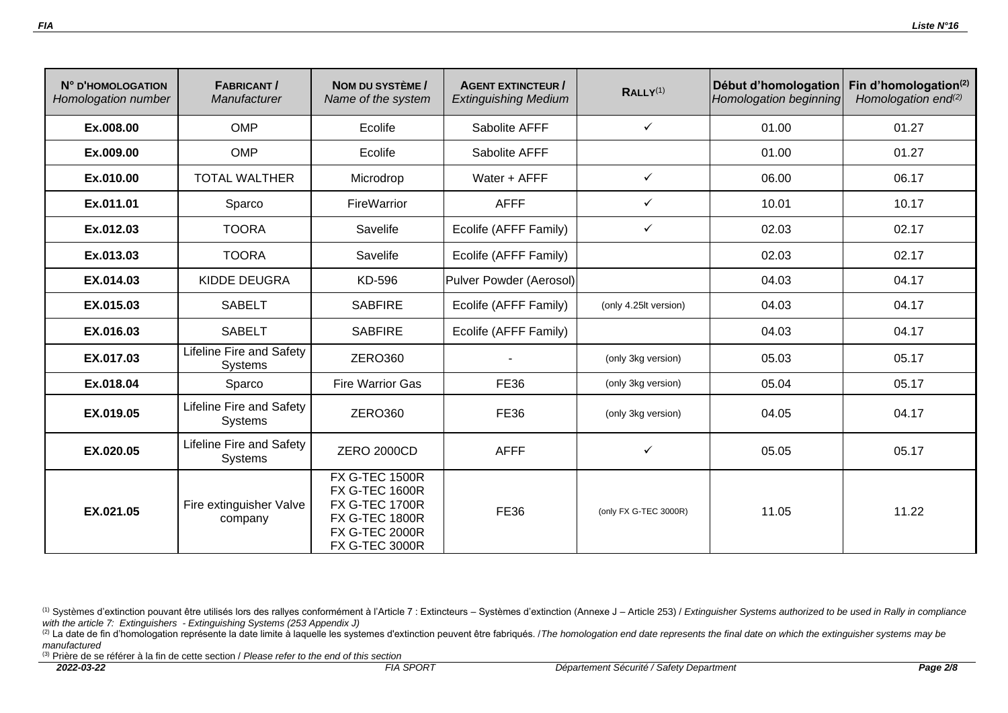| N° D'HOMOLOGATION<br>Homologation number | <b>FABRICANT/</b><br>Manufacturer          | NOM DU SYSTÈME /<br>Name of the system                                                                                                             | <b>AGENT EXTINCTEUR /</b><br><b>Extinguishing Medium</b> | RALLY <sup>(1)</sup>  | Début d'homologation<br>Homologation beginning | Fin d'homologation <sup>(2)</sup><br>Homologation end <sup>(2)</sup> |
|------------------------------------------|--------------------------------------------|----------------------------------------------------------------------------------------------------------------------------------------------------|----------------------------------------------------------|-----------------------|------------------------------------------------|----------------------------------------------------------------------|
| Ex.008.00                                | <b>OMP</b>                                 | Ecolife                                                                                                                                            | Sabolite AFFF                                            | $\checkmark$          | 01.00                                          | 01.27                                                                |
| Ex.009.00                                | <b>OMP</b>                                 | Ecolife                                                                                                                                            | Sabolite AFFF                                            |                       | 01.00                                          | 01.27                                                                |
| Ex.010.00                                | <b>TOTAL WALTHER</b>                       | Microdrop                                                                                                                                          | Water + AFFF                                             | $\checkmark$          | 06.00                                          | 06.17                                                                |
| Ex.011.01                                | Sparco                                     | FireWarrior                                                                                                                                        | <b>AFFF</b>                                              | $\checkmark$          | 10.01                                          | 10.17                                                                |
| Ex.012.03                                | <b>TOORA</b>                               | Savelife                                                                                                                                           | Ecolife (AFFF Family)                                    | $\checkmark$          | 02.03                                          | 02.17                                                                |
| Ex.013.03                                | <b>TOORA</b>                               | Savelife                                                                                                                                           | Ecolife (AFFF Family)                                    |                       | 02.03                                          | 02.17                                                                |
| EX.014.03                                | <b>KIDDE DEUGRA</b>                        | KD-596                                                                                                                                             | Pulver Powder (Aerosol)                                  |                       | 04.03                                          | 04.17                                                                |
| EX.015.03                                | <b>SABELT</b>                              | <b>SABFIRE</b>                                                                                                                                     | Ecolife (AFFF Family)                                    | (only 4.25lt version) | 04.03                                          | 04.17                                                                |
| EX.016.03                                | <b>SABELT</b>                              | <b>SABFIRE</b>                                                                                                                                     | Ecolife (AFFF Family)                                    |                       | 04.03                                          | 04.17                                                                |
| EX.017.03                                | <b>Lifeline Fire and Safety</b><br>Systems | <b>ZERO360</b>                                                                                                                                     |                                                          | (only 3kg version)    | 05.03                                          | 05.17                                                                |
| Ex.018.04                                | Sparco                                     | <b>Fire Warrior Gas</b>                                                                                                                            | <b>FE36</b>                                              | (only 3kg version)    | 05.04                                          | 05.17                                                                |
| EX.019.05                                | Lifeline Fire and Safety<br><b>Systems</b> | <b>ZERO360</b>                                                                                                                                     | <b>FE36</b>                                              | (only 3kg version)    | 04.05                                          | 04.17                                                                |
| EX.020.05                                | <b>Lifeline Fire and Safety</b><br>Systems | <b>ZERO 2000CD</b>                                                                                                                                 | <b>AFFF</b>                                              | ✓                     | 05.05                                          | 05.17                                                                |
| EX.021.05                                | Fire extinguisher Valve<br>company         | <b>FX G-TEC 1500R</b><br><b>FX G-TEC 1600R</b><br><b>FX G-TEC 1700R</b><br><b>FX G-TEC 1800R</b><br><b>FX G-TEC 2000R</b><br><b>FX G-TEC 3000R</b> | <b>FE36</b>                                              | (only FX G-TEC 3000R) | 11.05                                          | 11.22                                                                |

<sup>(2)</sup> La date de fin d'homologation représente la date limite à laquelle les systemes d'extinction peuvent être fabriqués. */ The homologation end date represents the final date on which the extinguisher systems may be manufactured*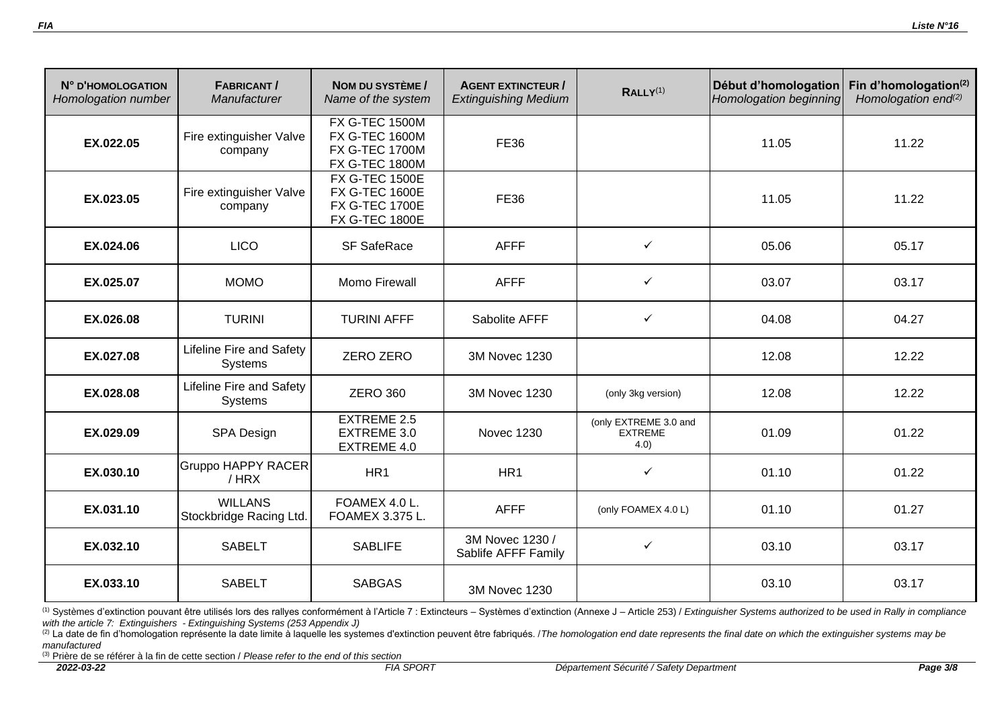| N° D'HOMOLOGATION<br>Homologation number | <b>FABRICANT/</b><br>Manufacturer         | NOM DU SYSTÈME /<br>Name of the system                                                           | <b>AGENT EXTINCTEUR /</b><br><b>Extinguishing Medium</b> | RALLY <sup>(1)</sup>                            | Début d'homologation<br>Homologation beginning | Fin d'homologation(2)<br>Homologation end <sup>(2)</sup> |
|------------------------------------------|-------------------------------------------|--------------------------------------------------------------------------------------------------|----------------------------------------------------------|-------------------------------------------------|------------------------------------------------|----------------------------------------------------------|
| EX.022.05                                | Fire extinguisher Valve<br>company        | <b>FX G-TEC 1500M</b><br><b>FX G-TEC 1600M</b><br><b>FX G-TEC 1700M</b><br><b>FX G-TEC 1800M</b> | <b>FE36</b>                                              |                                                 | 11.05                                          | 11.22                                                    |
| EX.023.05                                | Fire extinguisher Valve<br>company        | <b>FX G-TEC 1500E</b><br><b>FX G-TEC 1600E</b><br><b>FX G-TEC 1700E</b><br><b>FX G-TEC 1800E</b> | <b>FE36</b>                                              |                                                 | 11.05                                          | 11.22                                                    |
| EX.024.06                                | <b>LICO</b>                               | <b>SF SafeRace</b>                                                                               | <b>AFFF</b>                                              | ✓                                               | 05.06                                          | 05.17                                                    |
| EX.025.07                                | <b>MOMO</b>                               | <b>Momo Firewall</b>                                                                             | <b>AFFF</b>                                              | $\checkmark$                                    | 03.07                                          | 03.17                                                    |
| EX.026.08                                | <b>TURINI</b>                             | <b>TURINI AFFF</b>                                                                               | Sabolite AFFF                                            | $\checkmark$                                    | 04.08                                          | 04.27                                                    |
| EX.027.08                                | Lifeline Fire and Safety<br>Systems       | <b>ZERO ZERO</b>                                                                                 | 3M Novec 1230                                            |                                                 | 12.08                                          | 12.22                                                    |
| EX.028.08                                | Lifeline Fire and Safety<br>Systems       | <b>ZERO 360</b>                                                                                  | 3M Novec 1230                                            | (only 3kg version)                              | 12.08                                          | 12.22                                                    |
| EX.029.09                                | SPA Design                                | <b>EXTREME 2.5</b><br>EXTREME 3.0<br>EXTREME 4.0                                                 | <b>Novec 1230</b>                                        | (only EXTREME 3.0 and<br><b>EXTREME</b><br>4.0) | 01.09                                          | 01.22                                                    |
| EX.030.10                                | <b>Gruppo HAPPY RACER</b><br>/ HRX        | HR1                                                                                              | HR1                                                      | $\checkmark$                                    | 01.10                                          | 01.22                                                    |
| EX.031.10                                | <b>WILLANS</b><br>Stockbridge Racing Ltd. | FOAMEX 4.0 L.<br>FOAMEX 3.375 L.                                                                 | <b>AFFF</b>                                              | (only FOAMEX 4.0 L)                             | 01.10                                          | 01.27                                                    |
| EX.032.10                                | <b>SABELT</b>                             | <b>SABLIFE</b>                                                                                   | 3M Novec 1230 /<br>Sablife AFFF Family                   | $\checkmark$                                    | 03.10                                          | 03.17                                                    |
| EX.033.10                                | <b>SABELT</b>                             | <b>SABGAS</b>                                                                                    | 3M Novec 1230                                            |                                                 | 03.10                                          | 03.17                                                    |

<sup>(2)</sup> La date de fin d'homologation représente la date limite à laquelle les systemes d'extinction peuvent être fabriqués. */ The homologation end date represents the final date on which the extinguisher systems may be manufactured*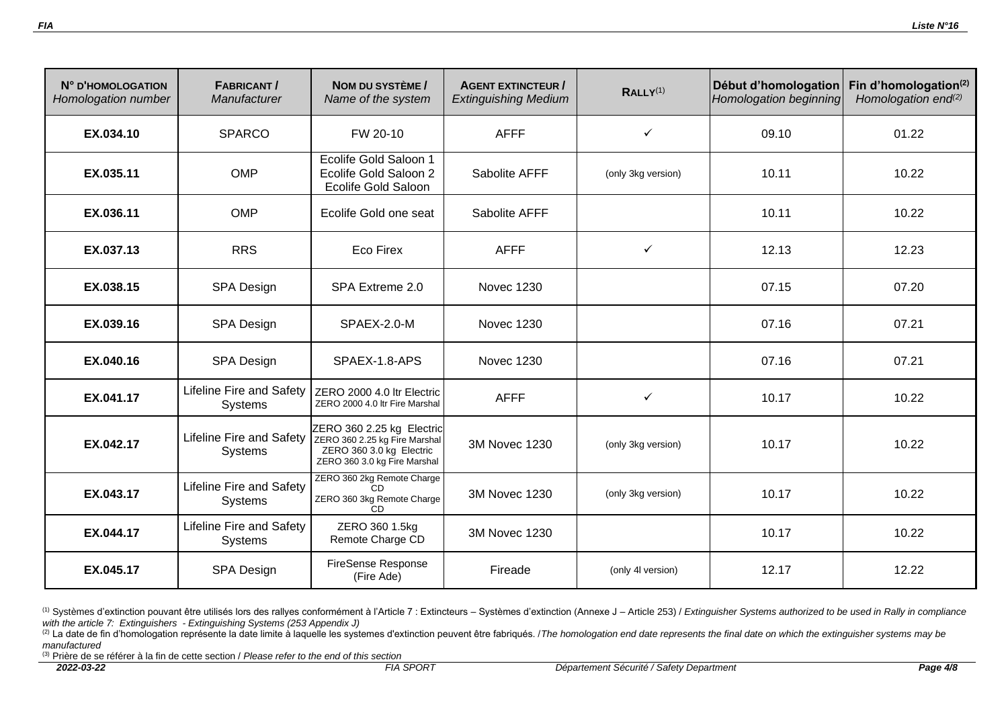| N° D'HOMOLOGATION<br>Homologation number | <b>FABRICANT/</b><br>Manufacturer          | NOM DU SYSTÈME /<br>Name of the system                                                                                 | <b>AGENT EXTINCTEUR /</b><br><b>Extinguishing Medium</b> | RALLY <sup>(1)</sup> | Début d'homologation<br>Homologation beginning | Fin d'homologation $(2)$<br>Homologation end <sup>(2)</sup> |
|------------------------------------------|--------------------------------------------|------------------------------------------------------------------------------------------------------------------------|----------------------------------------------------------|----------------------|------------------------------------------------|-------------------------------------------------------------|
| EX.034.10                                | <b>SPARCO</b>                              | FW 20-10                                                                                                               | <b>AFFF</b>                                              | $\checkmark$         | 09.10                                          | 01.22                                                       |
| EX.035.11                                | <b>OMP</b>                                 | Ecolife Gold Saloon 1<br>Ecolife Gold Saloon 2<br><b>Ecolife Gold Saloon</b>                                           | Sabolite AFFF                                            | (only 3kg version)   | 10.11                                          | 10.22                                                       |
| EX.036.11                                | <b>OMP</b>                                 | Ecolife Gold one seat                                                                                                  | Sabolite AFFF                                            |                      | 10.11                                          | 10.22                                                       |
| EX.037.13                                | <b>RRS</b>                                 | Eco Firex                                                                                                              | <b>AFFF</b>                                              | $\checkmark$         | 12.13                                          | 12.23                                                       |
| EX.038.15                                | <b>SPA Design</b>                          | SPA Extreme 2.0                                                                                                        | <b>Novec 1230</b>                                        |                      | 07.15                                          | 07.20                                                       |
| EX.039.16                                | <b>SPA Design</b>                          | SPAEX-2.0-M                                                                                                            | <b>Novec 1230</b>                                        |                      | 07.16                                          | 07.21                                                       |
| EX.040.16                                | SPA Design                                 | SPAEX-1.8-APS                                                                                                          | <b>Novec 1230</b>                                        |                      | 07.16                                          | 07.21                                                       |
| EX.041.17                                | Lifeline Fire and Safety<br>Systems        | ZERO 2000 4.0 Itr Electric<br>ZERO 2000 4.0 Itr Fire Marshal                                                           | <b>AFFF</b>                                              | $\checkmark$         | 10.17                                          | 10.22                                                       |
| EX.042.17                                | Lifeline Fire and Safety<br><b>Systems</b> | ZERO 360 2.25 kg Electric<br>ZERO 360 2.25 kg Fire Marshal<br>ZERO 360 3.0 kg Electric<br>ZERO 360 3.0 kg Fire Marshal | 3M Novec 1230                                            | (only 3kg version)   | 10.17                                          | 10.22                                                       |
| EX.043.17                                | Lifeline Fire and Safety<br>Systems        | ZERO 360 2kg Remote Charge<br>CD<br>ZERO 360 3kg Remote Charge<br>C <sub>D</sub>                                       | 3M Novec 1230                                            | (only 3kg version)   | 10.17                                          | 10.22                                                       |
| EX.044.17                                | Lifeline Fire and Safety<br>Systems        | ZERO 360 1.5kg<br>Remote Charge CD                                                                                     | 3M Novec 1230                                            |                      | 10.17                                          | 10.22                                                       |
| EX.045.17                                | <b>SPA Design</b>                          | FireSense Response<br>(Fire Ade)                                                                                       | Fireade                                                  | (only 4l version)    | 12.17                                          | 12.22                                                       |

<sup>(2)</sup> La date de fin d'homologation représente la date limite à laquelle les systemes d'extinction peuvent être fabriqués. */ The homologation end date represents the final date on which the extinguisher systems may be manufactured*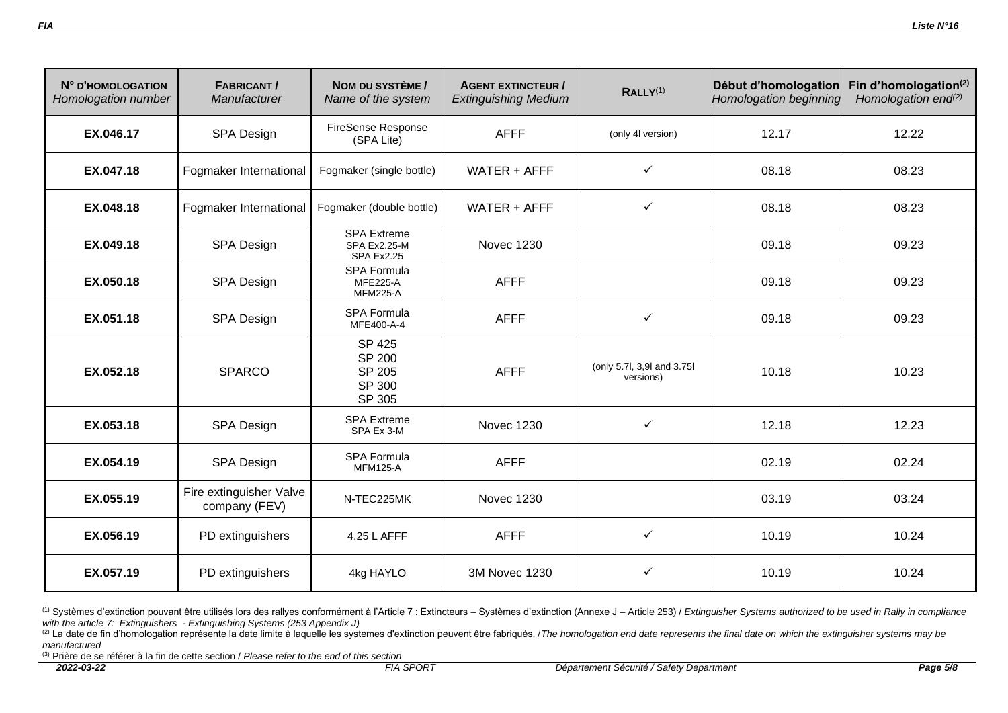| N° D'HOMOLOGATION<br>Homologation number | <b>FABRICANT/</b><br>Manufacturer        | NOM DU SYSTÈME /<br>Name of the system                       | <b>AGENT EXTINCTEUR /</b><br><b>Extinguishing Medium</b> | RALLY <sup>(1)</sup>                    | Début d'homologation<br>Homologation beginning | Fin d'homologation $(2)$<br>Homologation end <sup>(2)</sup> |
|------------------------------------------|------------------------------------------|--------------------------------------------------------------|----------------------------------------------------------|-----------------------------------------|------------------------------------------------|-------------------------------------------------------------|
| EX.046.17                                | SPA Design                               | <b>FireSense Response</b><br>(SPA Lite)                      | <b>AFFF</b>                                              | (only 4l version)                       | 12.17                                          | 12.22                                                       |
| EX.047.18                                | Fogmaker International                   | Fogmaker (single bottle)                                     | WATER $+$ AFFF                                           | ✓                                       | 08.18                                          | 08.23                                                       |
| EX.048.18                                | Fogmaker International                   | Fogmaker (double bottle)                                     | WATER $+$ AFFF                                           | $\checkmark$                            | 08.18                                          | 08.23                                                       |
| EX.049.18                                | SPA Design                               | SPA Extreme<br><b>SPA Ex2.25-M</b><br><b>SPA Ex2.25</b>      | <b>Novec 1230</b>                                        |                                         | 09.18                                          | 09.23                                                       |
| EX.050.18                                | SPA Design                               | <b>SPA Formula</b><br><b>MFE225-A</b><br><b>MFM225-A</b>     | <b>AFFF</b>                                              |                                         | 09.18                                          | 09.23                                                       |
| EX.051.18                                | SPA Design                               | <b>SPA Formula</b><br>MFE400-A-4                             | <b>AFFF</b>                                              | $\checkmark$                            | 09.18                                          | 09.23                                                       |
| EX.052.18                                | <b>SPARCO</b>                            | <b>SP 425</b><br><b>SP 200</b><br>SP 205<br>SP 300<br>SP 305 | <b>AFFF</b>                                              | (only 5.7l, 3,9l and 3.75l<br>versions) | 10.18                                          | 10.23                                                       |
| EX.053.18                                | SPA Design                               | <b>SPA Extreme</b><br>SPA Ex 3-M                             | <b>Novec 1230</b>                                        | $\checkmark$                            | 12.18                                          | 12.23                                                       |
| EX.054.19                                | SPA Design                               | <b>SPA Formula</b><br><b>MFM125-A</b>                        | <b>AFFF</b>                                              |                                         | 02.19                                          | 02.24                                                       |
| EX.055.19                                | Fire extinguisher Valve<br>company (FEV) | N-TEC225MK                                                   | <b>Novec 1230</b>                                        |                                         | 03.19                                          | 03.24                                                       |
| EX.056.19                                | PD extinguishers                         | 4.25 L AFFF                                                  | <b>AFFF</b>                                              | $\checkmark$                            | 10.19                                          | 10.24                                                       |
| EX.057.19                                | PD extinguishers                         | 4kg HAYLO                                                    | <b>3M Novec 1230</b>                                     | ✓                                       | 10.19                                          | 10.24                                                       |

<sup>(2)</sup> La date de fin d'homologation représente la date limite à laquelle les systemes d'extinction peuvent être fabriqués. */ The homologation end date represents the final date on which the extinguisher systems may be manufactured*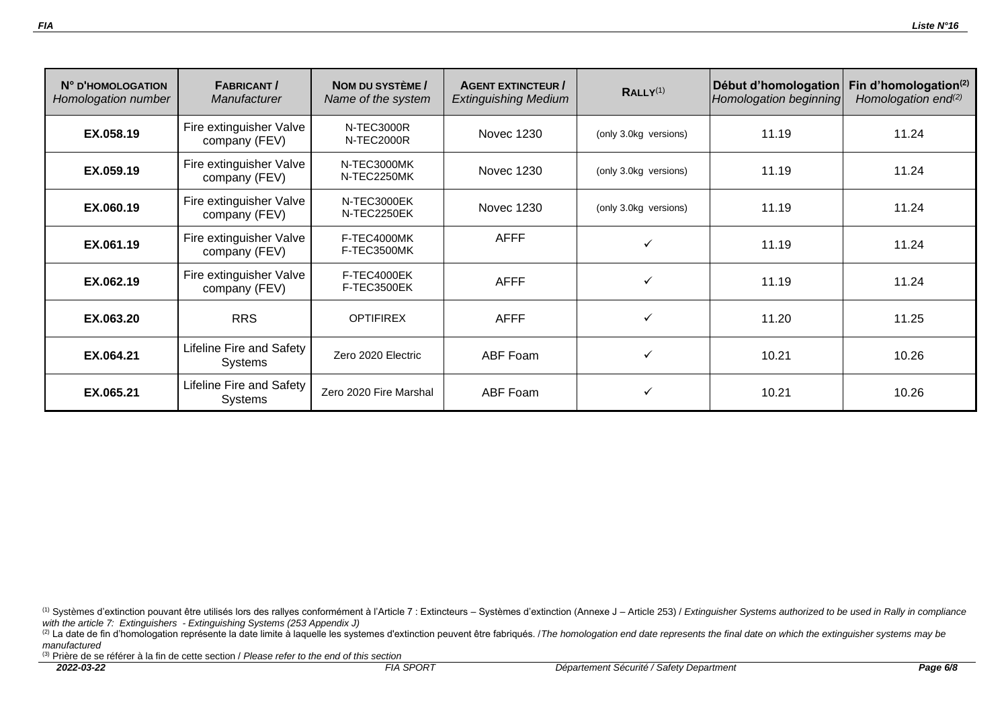| N° D'HOMOLOGATION<br>Homologation number | <b>FABRICANT/</b><br>Manufacturer          | NOM DU SYSTÈME /<br>Name of the system | <b>AGENT EXTINCTEUR /</b><br><b>Extinguishing Medium</b> | RALLY <sup>(1)</sup>  | Début d'homologation<br>Homologation beginning | Fin d'homologation $(2)$<br>Homologation end $(2)$ |
|------------------------------------------|--------------------------------------------|----------------------------------------|----------------------------------------------------------|-----------------------|------------------------------------------------|----------------------------------------------------|
| EX.058.19                                | Fire extinguisher Valve<br>company (FEV)   | N-TEC3000R<br>N-TEC2000R               | Novec 1230                                               | (only 3.0kg versions) | 11.19                                          | 11.24                                              |
| EX.059.19                                | Fire extinguisher Valve<br>company (FEV)   | N-TEC3000MK<br>N-TEC2250MK             | Novec 1230                                               | (only 3.0kg versions) | 11.19                                          | 11.24                                              |
| EX.060.19                                | Fire extinguisher Valve<br>company (FEV)   | N-TEC3000EK<br>N-TEC2250EK             | Novec 1230                                               | (only 3.0kg versions) | 11.19                                          | 11.24                                              |
| EX.061.19                                | Fire extinguisher Valve<br>company (FEV)   | F-TEC4000MK<br>F-TEC3500MK             | <b>AFFF</b>                                              | ✓                     | 11.19                                          | 11.24                                              |
| EX.062.19                                | Fire extinguisher Valve<br>company (FEV)   | F-TEC4000EK<br>F-TEC3500EK             | <b>AFFF</b>                                              | ✓                     | 11.19                                          | 11.24                                              |
| EX.063.20                                | <b>RRS</b>                                 | <b>OPTIFIREX</b>                       | <b>AFFF</b>                                              | ✓                     | 11.20                                          | 11.25                                              |
| EX.064.21                                | Lifeline Fire and Safety<br>Systems        | Zero 2020 Electric                     | ABF Foam                                                 | ✓                     | 10.21                                          | 10.26                                              |
| EX.065.21                                | Lifeline Fire and Safety<br><b>Systems</b> | Zero 2020 Fire Marshal                 | ABF Foam                                                 | ✓                     | 10.21                                          | 10.26                                              |

<sup>(2)</sup> La date de fin d'homologation représente la date limite à laquelle les systemes d'extinction peuvent être fabriqués. */ The homologation end date represents the final date on which the extinguisher systems may be manufactured*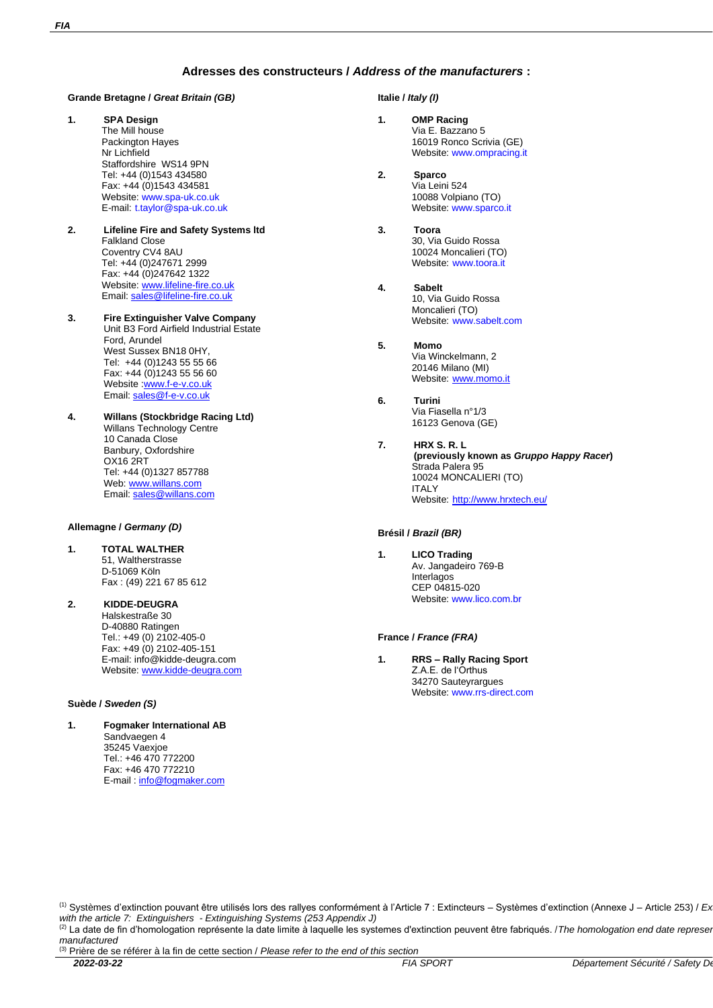### **Adresses des constructeurs /** *Address of the manufacturers* **:**

### **Grande Bretagne /** *Great Britain (GB)*

- **1. SPA Design** The Mill house Packington Hayes Nr Lichfield Staffordshire WS14 9PN Tel: +44 (0)1543 434580 Fax: +44 (0)1543 434581 Website[: www.spa-uk.co.uk](file://///aitfia.com/fia/CIRCUITS%20SECURITE/COMMUN_GROUPE/NEW%20COMMON/01%20Regulations/FIA%20Standards%20-%20Technical%20Lists/FIA8865%20-%20Extinguishers/Technical%20lists/www.spa-uk.co.uk) E-mail: t.taylor@spa-uk.co.uk
- **2. Lifeline Fire and Safety Systems ltd** Falkland Close Coventry CV4 8AU Tel: +44 (0)247671 2999 Fax: +44 (0)247642 1322 Website[: www.lifeline-fire.co.uk](http://www.lifeline-fire.co.uk/) Email: sales@lifeline-fire.co.uk
- **3. Fire Extinguisher Valve Company** Unit B3 Ford Airfield Industrial Estate Ford, Arundel West Sussex BN18 0HY, Tel: +44 (0)1243 55 55 66 Fax: +44 (0)1243 55 56 60 Website :<u>www.f-e-v.co.uk</u> Email: <u>sales@f-e-v.co.uk</u>
- **4. Willans (Stockbridge Racing Ltd)** Willans Technology Centre 10 Canada Close Banbury, Oxfordshire OX16 2RT Tel: +44 (0)1327 857788 Web: www.willans.com Email: sales@willans.com

#### **Allemagne /** *Germany (D)*

- **1. TOTAL WALTHER** 51, Waltherstrasse D-51069 Köln Fax : (49) 221 67 85 612
- **2. KIDDE-DEUGRA** Halskestraße 30 D-40880 Ratingen Tel.: +49 (0) 2102-405-0 Fax: +49 (0) 2102-405-151 E-mail: info@kidde-deugra.com Website[: www.kidde-deugra.com](http://www.kidde-deugra.com/)

#### **Suède /** *Sweden (S)*

**1. Fogmaker International AB** Sandvaegen 4 35245 Vaexjoe Tel.: +46 470 772200 Fax: +46 470 772210 E-mail: [info@fogmaker.com](mailto:info@fogmaker.com)

#### **Italie /** *Italy (I)*

- **1. OMP Racing** Via E. Bazzano 5 16019 Ronco Scrivia (GE) Website[: www.ompracing.it](http://www.ompracing.it/)
- **2. Sparco**  Via Leini 524 10088 Volpiano (TO) Website[: www.sparco.it](http://www.sparco.it/#http://www.sparco.it)
- **3. Toora**  30, Via Guido Rossa 10024 Moncalieri (TO) Website: [www.toora.it](http://www.toora.it/)
- **4. Sabelt**  10, Via Guido Rossa Moncalieri (TO) Website: [www.sabelt.com](http://www.sabelt.com/)
- **5. Momo**  Via Winckelmann, 2 20146 Milano (MI) Website: [www.momo.it](http://www.momo.it/)
- **6. Turini** Via Fiasella n°1/3 16123 Genova (GE)
- **7. HRX S. R. L (previously known as** *Gruppo Happy Racer***)** Strada Palera 95 10024 MONCALIERI (TO) **ITALY** Website: <http://www.hrxtech.eu/>

#### **Brésil /** *Brazil (BR)*

**1. LICO Trading** Av. Jangadeiro 769-B Interlagos CEP 04815-020 Website: www.lico.com.br

### **France /** *France (FRA)*

**1. RRS – Rally Racing Sport** Z.A.E. de l'Orthus 34270 Sauteyrargues Website: www.rrs-direct.com

<sup>&</sup>lt;sup>(1)</sup> Systèmes d'extinction pouvant être utilisés lors des rallyes conformément à l'Article 7 : Extincteurs – Systèmes d'extinction (Annexe J – Article 253) / Ex *with the article 7: Extinguishers - Extinguishing Systems (253 Appendix J)*

<sup>(2)</sup> La date de fin d'homologation représente la date limite à laquelle les systemes d'extinction peuvent être fabriqués. */ The homologation end date represente in d'homologation represente la date limite à laquelle les sy manufactured*